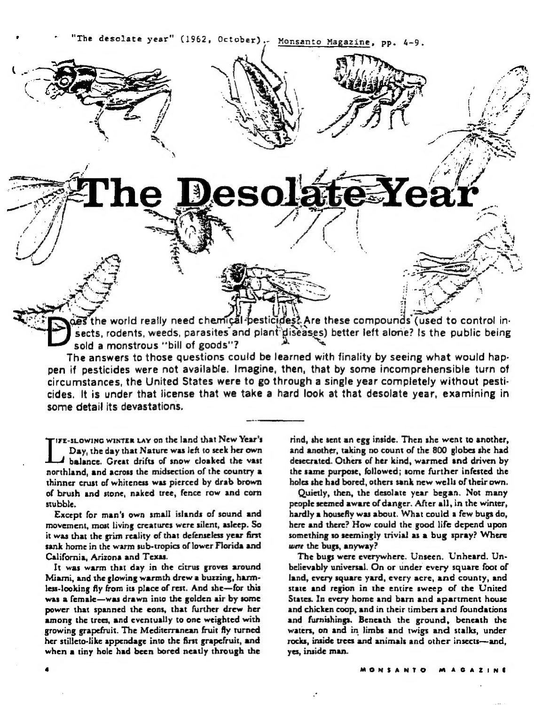Desola

 $\begin{array}{c} \text{A} \rightarrow \text{B} \rightarrow \text{C} \rightarrow \text{C} \rightarrow \text{C} \rightarrow \text{C} \rightarrow \text{C} \rightarrow \text{C} \rightarrow \text{C} \rightarrow \text{C} \rightarrow \text{C} \rightarrow \text{C} \rightarrow \text{C} \rightarrow \text{C} \rightarrow \text{C} \rightarrow \text{C} \rightarrow \text{C} \rightarrow \text{C} \rightarrow \text{C} \rightarrow \text{C} \rightarrow \text{C} \rightarrow \text{C} \rightarrow \text{C} \rightarrow \text{C} \rightarrow \text{C} \rightarrow \text{C} \rightarrow \text{C} \rightarrow \text{C} \rightarrow \text{C} \rightarrow \text{C} \rightarrow \text{$ sects, rodents, weeds, parasites and plant'giseases) better left alone? Is the public being sold a monstrous "bill of goods''?

The answers to those questions could be learned with finality by seeing what would happen if pesticides were not available. Imagine, then, that by some incomprehensible turn of circumstances, the United States were to go through a single year completely without pesticides. It is under that license that we take a hard look at that desolate year, examining in some detail its devastations.

Day, the day that Nature was left to seek her own balance. Great drifts of snow cloaked the vast northland, and across the midsection of the country a thinner crust of whiteness was pierced by drab brown of brush and stone, naked tree, fence row and corn stubble. Except for man's own small islands of sound and IFE-SLOWING WINTER LAY on the land that New Year's

 $\mathcal{L}$  $(25)$ 

movement, most living creatures were silent, asleep. So it was that the grim reality of that defenseless year first sank home in the warm sub-tropics of lower Florida and California, Arizona and Texas.

It was warm that day in the citrus groves around Miami, and the glowing warmth drew a buzzing, harmless-looking fly from its place of rest. And she—for this was a female—was drawn into the golden air by some power that spanned the cons, that further drew her among the trees, and eventually to one weighted with growing grapefruit. The Mediterranean fruit fly rurned her stilleto-like appendage into the first grapefruit, and when a tiny hole had been bored neatly through the

rind, she sent an egg inside. Then she went to another, and another, taking no count of the 800 globes she had desecrated. Others of her kind, warmed and driven by the same purpose, followed; some further infested the holes she had bored, others sank new wells of their own.

Quietly, then, the desolate year began. Not many people seemed aware of danger. After all, in the winter, hardly a housefly was about. What could a few bugs do, here and there? How could the good life depend upon something so seemingly trivial as a bug spray? Where were the bugs, anyway?

The bugs were everywhere. Unseen. Unheard. Unbelievably universal. On or under every square foot of land, every square yard, every acre, and county, and state and region in the entire sweep of the United States. In every home and barn and apartment house and chicken coop, and in their timbers and foundations and furnishings. Beneath the ground, beneath the waters, on and in limbs and twigs and stalks, under rocks, inside trees and animals and other insects—and, yes, inside man.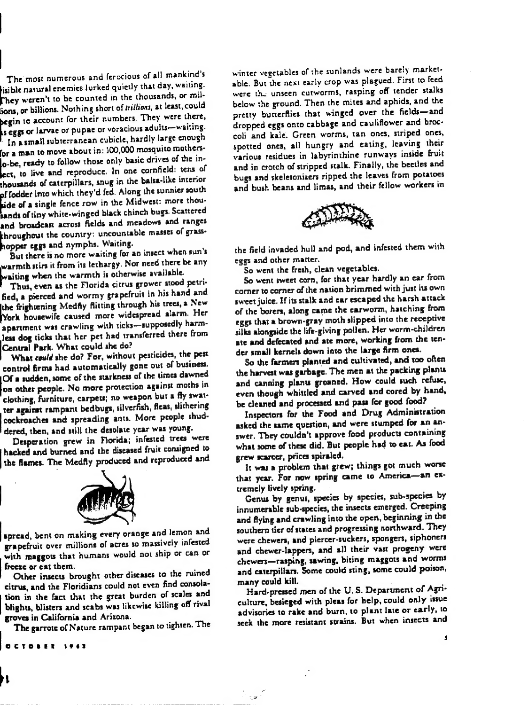The most numerous and ferocious of all mankind's isible natural enemies lurked quietly that day, waiting. They weren't to be counted in the thousands, or milions, or billions. Nothing short of trillions, at least, could egin to account for their numbers. They were there, : eggs or larvae or pupae or voracious adults—waiting.

In asmall subterranean cubicle, hardly large enough for a man to move about in: 100,000 mosquito motherslo-be, ready to follow those only basic drives of the inect, to live and reproduce. In one cornfield: tens of thousands of caterpillars, snug in the balsa-like interior {fodder into which they'd fed. Along the sunnier south side of a single fence row in the Midwest: more thouands of tiny white-winged black chinch bugs. Scattered and broadcast across fields and meadows and ranges throughout the country: uncountable masses of grasshopper eggs and nymphs. Waiting.

But there is no more waiting for an insect when sun's warmth stirs it from its lethargy. Nor need there be any waiting when the warmth is otherwise available.

Thus, even as the Florida citrus grower stood petrified, a pierced and wormy grapefruit in his hand and the frightening Medfly Aitting through his trees, a New York housewife caused more widespread alarm. Her apartment was crawling with ticks—supposedly harm-Jess dog ticks that her pet had transferred there from Central Park. What could she do?

What could she do? For, without pesticides, the pest contro! firms had automatically gone out of business. Of a sudden, some of the starkness of the times dawned on other people. No more protection against moths in clothing, furniture, carpets; no weapon but a fly swatter against rampant bedbugs, silverfish, fleas, slithering cockroaches and spreading ants. More people shuddered, then, and still the desolate year was young.

Desperation grew in Florida; infested trees were hacked and burned and the diseased fruit consigned to the flames. The Medfly produced and reproduced and



spread, bent on making every orange and lemon and grapefruit over millions of acres so massively infested with maggots that humans would not ship or can or freeze or eat them.

Other insects brought other diseases to the ruined citrus, and the Floridians could not even find consolation in the fact that the great burden of scales and blights, blisters and scabs was likewise killing off rival groves in California and Arizona.

The garrote of Nature rampant began to tighten. The

 $\mathbf{L}$ 

winter vegetables of the sunlands were barely marketable. But the next early crop was plagued. First to feed were the unseen cutworms, rasping off tender stalks below the ground. Then the mites and aphids, and the pretty butterflies that winged over the fields—and dropped eggs onto cabbage and cauliflower and broccoli and kale. Green worms, tan ones, striped ones, spotted ones, all hungry and eating, leaving their various residues in labyrinthine runways inside fruit and in crotch of stripped stalk. Finally, the beetles and bugs and skeletonizers ripped the leaves from potatoes and bush beans and limas, and their fellow workers in



the field invaded hull and pod, and infested them with eggs and other matter.

So went the fresh, clean vegetables.

So went sweet corn, for that year hardly an ear from corner to corner of the nation brimmed with just its own sweet juice. If its stalk and ear escaped the harsh attack of the borers, along came the earworm, hatching from eggs that a brown-gray moth slipped into the receptive silks alongside the life-giving pollen. Her worm-children ate and defecated and ate more, working from the tender smal] kernels down into the large firm ones.

So the farmers planted and cultivated, and too often the harvest was garbage. The men at the packing plans and canning plants groaned. How could such refuse, even though whittled and carved and cored by hand, be cleaned and processed and pass for good food?

Inspectors for the Food and Drug Administration asked the same question, and were stumped for an answer. They couldn't approve food products containing what some of these did. But people had to eat. As food grew scarcer, prices spiraled.

It was a problem that grew; things got much worse that year. For now spring came to America—an ¢xtremely lively spring.

Genus by genus, species by species, sub-species by innumerable sub-species, the insects emerged. Creeping and Aying and crawling into the open, beginning in the southern tier of states and progressing northward. They were chewers, and piercer-suckers, spongers, siphoners and chewer-lappers, and all their vast progeny were chewers—rasping, sawing, biting maggots and worms and caterpillars. Some could sting, some could poison, many could kill.

many could kill.<br>Hard-pressed men of the U.S. Department of Agriculture, besieged with pleas for help, could only issue advisories to rake and burn, to plant late or early, to seek the more resistant strains. But when insects and

ಿ <sub>ತ</sub>ಿ

 $\mathbf{S}$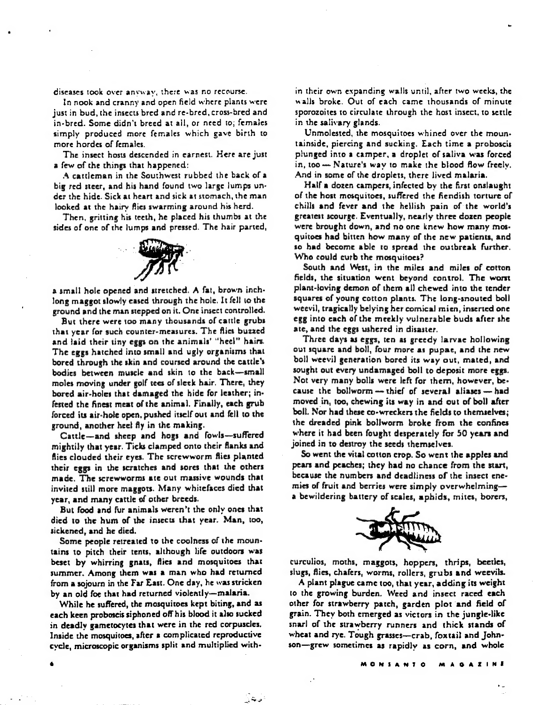diseases took over anvway, there was no recourse.

In nook and cranny and open field where plants were just in bud, the insects bred and re-bred, cross-bred and in-bred. Some didn't breed at all, or need 10; females simply produced more females which gave birth to more hordes of femaies.

The insect hosts descended in earnest. Here are just a few of the things that happened:

A cattleman in the Southwest rubbed the back of a big red steer, and his hand found two large Jumps under the hide. Sick at heart and sick at stomach, the man looked at the hairy flies swarming around his herd.

Then, gritting his teeth, he placed his thumbs at the sides of one of the lumps and pressed. The hair parted,



a small hole opened and stretched. A fat, brown inch-Jong maggot slowly eased through the hole. It fell to the ground and the man stepped on it. One insect controlled.

But there were too many thousands of cattle grubs that year for such counter-measures. The flies buzzed and laid their tiny eggs on the animals' "heel" hairs. The eggs hatched into small and ugly organisms that bored through the skin and coursed around the cattle's bodies between muscle and skin to the back—small moles moving under golf tees of sleck hair. There, they bored air-holes that damaged the hide for leather; infested the finest meat of the animal. Finally, each grub forced its air-hole open, pushed itself out and fell to the ground, another heel fly in the making.

Cattle—and sheep and hogs and fowls—suffered mightily that year. Ticks clamped onto their flanks and flies clouded their eyes. The screwworm flies planted their eggs in the scratches and sores that the others made. The screwworms ate out massive wounds that invited still more maggots. Many whitefaces died that year, and many cattle of other breeds.

But food and fur animals weren't the only ones that died to the hum of the insects that year. Man, too, sickened, and he died.

Some people retreated to the coolness of the mountains to pitch their tents, although life outdoors was beset by whirring gnats, flies and mosquitoes that summer. Among them was a man who had retumed from a sojourn in the Far East. One day, he was stricken by an old foe that had returned violently—malaria.

While he suffered, the mosquitoes kept biting, and as each keen proboscis siphoned off his blood it also sucked in deadly gametocytes that were in the red corpuscles. Inside the mosquitoes, after 2 complicated reproductive cycle, microscopic organisms split and multiplied with-

e

in their own expanding walls until, after two weeks, the walls broke. Out of each came thousands of minute sporozoites to circulate through the host insect, to settle in the salivary glands.

Unmolested, the mosquitoes whined over the mountainside, piercing and sucking. Each time a proboscis plunged into a camper, a droplet of saliva was forced in, too — Nature's way to make the blood flow freely. And in some of the droplets, there lived malaria.

Half a dozen campers, infected by the first onslaught of the host mosquitoes, suffered the fiendish torture of chills and fever and the hellish pain of the world's greatest scourge. Eventually, nearly three dozen people were brought down, and no one knew how many mosquitoes had bitten how many of the new patients, and so had become able to spread the outbreak further. Who could curb the mosquitoes?

South and West, in the miles and miles of cotton fields, the situation went beyond control. The worst plant-loving demon of them all chewed into the tender squares of young cotton plants, The long-snouted boll weevil, tragically belying her comical mien, inserted one egg into cach of the meekly vulnerable buds after she ate, and the eggs ushered in disaster.

Three days as eggs, ten as greedy larvae hollowing out square and boll, four more as pupae, and the new boll weevil generation bored its way out, mated, and sought out every undamaged boll to deposit more eggs. Not very many bolls were left for ther, however, because the bollworm — thief of several aliases — had moved in, too, chewing its way in and out of boll after boll. Nor had these co-wreckers the fields to themselves; the dreaded pink bollworm broke from the confines where it had been fought desperately for 50 years and joined in to destroy the seeds themselves.

So went the vital cotton crop. So went the apples and pears and peaches; they had no chance from the start, because the numbers and deadliness of the insect enemies of fruit and berries were simply overwhelming a bewildering battery of scales, aphids, mites, borers,



curculios, moths, maggots, hoppers, thrips, beetles, slugs, flies, chafers, worms, rollers, grubs and weevils.

A plant plague came too, that year, adding its weight to the growing burden. Weed and insect raced each other for strawberry patch, garden plot and field of grain. They both emerged as victors in the jungie-like snarl of the strawberry runners and thick stands of wheat and rye. Tough grasses—crab, foxtail and Johnson—grew sometimes as rapidly as corn, and whole

MONSANTO MAGAZINE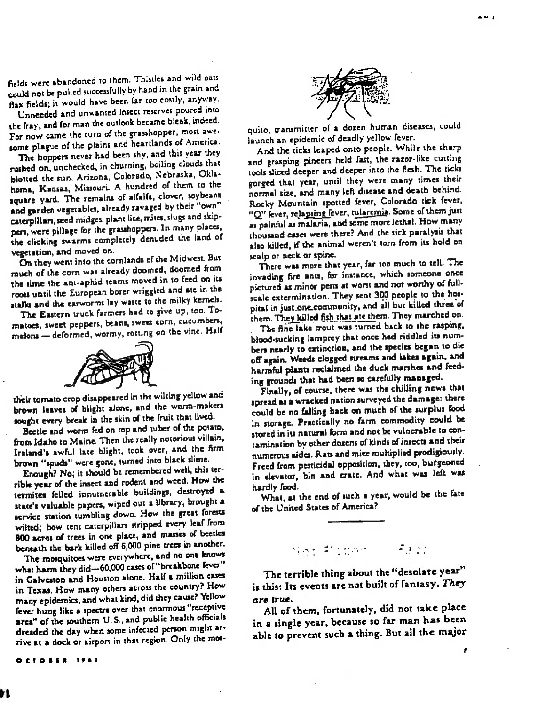fields were abandoned to them. Thistles and wild oats could not be pulled successfully by hand in the grain and flax fields; it would have been far too costly, anyway.

Unneeded and unwanted insect reserves poured into the fray, and for man the outlook became bleak, indeed. For now came the turn of the grasshopper, most awesome plague of the plains and heartlands of America.

The hoppers never had been shy, and this year they rushed on, unchecked, in churning, boiling clouds that blotted the sun. Arizona, Colorado, Nebraska, Oklahoma, Kansas, Missouri. A hundred of them to the square yard. The remains of alfalfa, clover, soybeans \_ and garden vegetables, already ravaged by their "own" caterpillars, seed midges, plant lice, mites, slugs and skippers, were pillage for the grasshoppers. In many places, the clicking swarms completely denuded the land of vegetation, and moved on.

On they went into the cornlands of the Midwest. But much of the corn was already doomed, doomed from the time the ant-aphid teams moved in to feed on its roots until the European borer wriggled and ate in the stalks and the earworms lay waste to the milky kernels.

The Eastern truck farmers had to give up, too. Tomatoes, sweet peppers, beans, sweet corn, cucumbers, melons — deformed, wormy, rotting on the vine. Half



their tomato crop disappeared in the wilting yellow and brown Jeaves of blight alone, and the worm-makers sought every break in the skin of the fruit that lived.

Beetle and worm fed on top and tuber of the potato, from Idaho to Maine. Then the really notorious villain, Ireland's awful late blight, took over, and the firm brown "spuds" were gone, turned into black slime.

Enough? No; it should be remembered well, this terrible year of the insect and rodent and weed. How the termites felled innumerable buildings, destroyed <sup>a</sup> state's valuable papers, wiped out a library, brought <sup>a</sup> service station tumbling down. How the great forests wilted; how tent caterpillars stripped every leaf from <sup>800</sup>acres of trees in one place, and masses of beetles beneath the bark killed off 6,000 pine trees in another.

The mosquitoes were everywhere, and no one knows what harm they did—60,000 cases of "'breakbone fever" in Galveston and Houston alone. Half a million cases in Texas. How many others across the country? How many epidemics, and what kind, did they cause? Yellow fever hung like a spectre over that enormous "receptive area" of the southern U.S., and public health officials dreaded the day when some infected person might arrive at a dock or airport in that region. Only the mos-

OcroseRr 1962



quito, transmitter of a dozen human diseases, could launch an epidemic of deadly yellow fever.

And the ticks leaped onto people. While the sharp and grasping pincers held fast, the razor-like cutting tools sliced deeper and deeper into the flesh. The ticks gorged that year, until they were many times their normal size, and many left disease and death behind. Rocky Mountain spotted fever, Colorado tick fever, "Q" fever, relapsing fever, tularemia. Some of them just as painful as malaria, and some more lethal. How many thousand cases were there? And the tick paralysis that also killed, if the animal weren't torn from its hold on scalp or neck or spine.

There was more that year, far too much to tell. The invading fire ants, for instance, which someone once pictured as minor pests at worst and not worthy of fullscale extermination. They sent 300 people to the hospital in just.one.community, and all but killed three of them. They killed fish that ate them. They marched on.

The fine lake trout was turned back to the rasping, blood-sucking lamprey that once had riddled its numbers nearly to extinction, and the species began to die off again, Weeds clogged streams and lakes again, and harmful plants reclaimed the duck marshes and feeding grounds that had been so carefully managed.

Finally, of course, there was the chilling news that spread as a wracked nation surveyed the damage: there could be no falling back on much of the surplus food in storage. Practically no farm commodity could be stored in its natural form and not be vulnerable to contamination by other dozens of kinds of insects and their numerous aides. Rats and mice multiplied prodigiously. Freed from pesticidal opposition, they, too, bufgeoned in elevator, bin and crate. And what was left was hardly food.

What, at the end of such a year, would be the fate of the United States of America?

> أنبرت مصطورة فالأراج ووارد و ورو ک

The terrible thing about the "desolate year" is this: Its events are not built of fantasy. They are true.

All of them, fortunately, did not take place in a single year, because so far man has been able to prevent such a thing. But all the major

?

1!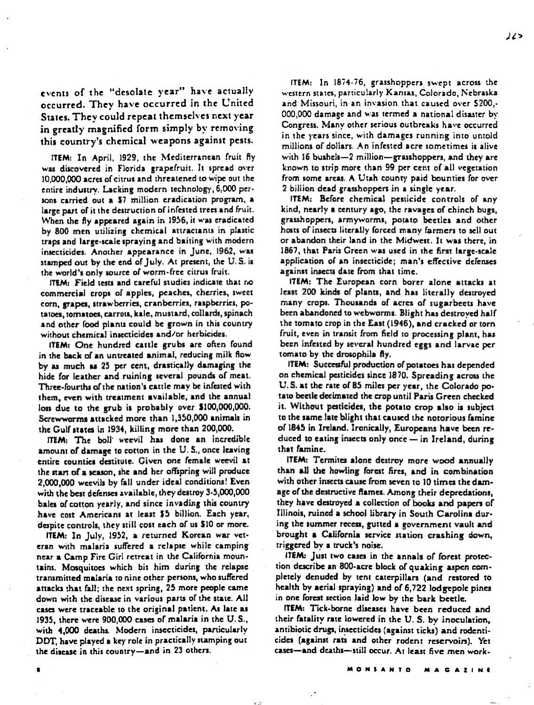events of the "desolate year" have actually occurred. They have occurred in the United States. They could repeat themselves next year in greatly magnified form simply by removing this country's chemical weapons against pests.

ITEM: In April, 1929, the Mediterranean fruit Ay was discovered in Florida grapefruit. I: spread over 10,000,000 acres of citrus and threatened to wipe out the entire industry. Lacking modern technology, 6,000 persons carried out a \$7 million eradication program, a large part of it the destruction of infested trees and fruit. When the fly appeared again in 1956, it was eradicated by 800 men utilizing chemical attractants in plastic traps and large-scale spraying and baiting with modern insecticides. Another appearance in June, 1962, was stamped out by the end of July. At present, the U.S. is the world's only source of worm-free citrus fruit.

ITEM: Field tests and careful studies indicate that no commercial crops of apples, peaches, cherries, sweet corn, grapes, strawberries, cranberries, raspberries, potatoes, tomatoes, carrots, kale, mustard, collards, spinach and other food plants could be grown in this country without chemical insecticides and/or herbicides.

ITEM: One hundred cattle grubs are often found in the back of an untreated animal, reducing milk flow by as much as 25 per cent, drastically damaging the hide for leather and ruining several pounds of meat. Three-fourths of the nation's cattle may be infested with them, even with treatment available, and the annua! loss due to the grub is probably over \$100,000,000. Screwworms attacked more than 1,350,000 animals in the Gulf states in 1934, killing more than 200,000.

ITEM: The boll' weevil has done an incredible amount of damage to cotton in the U. S., once leaving entire counties destitute. Given one female weevil at the start of a season, she and ber offspring will produce 2,000,000 weevils by fall under ideal conditions! Even with the best defenses available, they destroy 3-5,000,000 bales of cotton yearly, and since invading this country have cost Americans at least \$5 billion. Each year, despite controls, they still cost each of us \$10 or more.

ITEM: In July, 1952, a returned Korean war veteran with malaria suffered a relapse while camping near a Camp Fire Girl retreat in the California mountains. Mosquitoes which bit him during the relapse transmitted malaria to nine other persons, who suffered attacks that fall; the next spring, 25 more people came down with the disease in various parts of the state. All cases were traceable to the original patient. As late as 1935, there were 900,000 cases of malaria in the U.S., with 4,000 deaths. Modern insecticides, particularly DDT, have played a key role in practically stamping out the disease in this country—and in 23 others.

ITEM: In 1874-76, grasshoppers swept across the western states, particularly Kansas, Colorado, Nebraska and Missouri, in an invasion that caused over \$200,- 000,000 damage and was termed a national disaster by Congress. Many other serious outbreaks have occurred in the years since, with damages running into untold millions of dollars. An infested acre sometimes is alive with 16 bushels—2 million—grasshoppers, and they are known to strip more than 99 per cent of all vegetation from some areas. A Utah county paid bounties for over 2 billion dead grasshoppers in a single year.

ITEM: Before chemical pesticide controls of any kind, nearly a century ago, the ravages of chinch bugs, grasshoppers, armyworms, potato beetles and other hosts of insects literally forced many farmers to sell out or abandon their land in the Midwest. It was there, in 1867, that Paris Green was used in the first large-scale application of an insecticide; man's effective defenses against insects date from that time.

ITEM: The European corn borer alone attacks at least 200 kinds of plants, and has literally destroyed many crops. Thousands of acres of sugarbeets have been abandoned to webworms. Blight has destroyed half the tomato crop in the East (1946), and cracked or torn fruit, even in transit from field to processing plant, has been infested by several hundred eggs and larvae per tomato by the drosophila fly.

ITEM: Successful production of potatoes has depended on chemical pesticides since 1870. Spreading across the U.S. at the rate of 85 miles per year, the Colorado potato beetle decimated the crop until Paris Green checked it. Without pesticides, the potato crop also is subject to the same late blight that caused the notorious famine of 1845 in Ireland. Ironically, Europeans have been reduced to eating insects only once — in Ireland, during that famine.

ITEM: Termites alone destroy more wood annually than all the howling forest fires, and in combination with other insects cause from seven to 10 times the damage of the destructive flames. Among their depredations, they have destroyed a collection of books and papers of Minois, ruined a school library in South Carolina during the summer recess, gutted a government vault and brought a California service station crashing down, triggered by a truck's noise.

ITEM: Just two cases in the annals of forest protection describe an 800-acre block of quaking aspen completely denuded by tent caterpillars (and restored to health by aerial spraying) and of 6,722 lodgepole pines in one forest section Jaid low by the bark beetle.

ITEM: Tick-borne diseases have been reduced and their fatality rate lowered in the U.S, by inoculation, antibiotic drugs, insecticides (against ticks) and rodenticides (against rats and other rodent reservoirs). Yet cases—and deaths—still occur. At least five men work